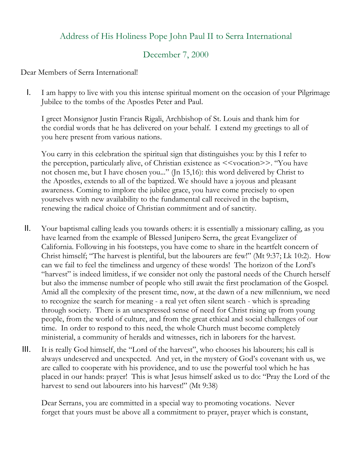## Address of His Holiness Pope John Paul II to Serra International

## December 7, 2000

## Dear Members of Serra International!

I. I am happy to live with you this intense spiritual moment on the occasion of your Pilgrimage Jubilee to the tombs of the Apostles Peter and Paul.

I greet Monsignor Justin Francis Rigali, Archbishop of St. Louis and thank him for the cordial words that he has delivered on your behalf. I extend my greetings to all of you here present from various nations.

You carry in this celebration the spiritual sign that distinguishes you: by this I refer to the perception, particularly alive, of Christian existence as  $\leq$ vocation $\geq$ . "You have not chosen me, but I have chosen you..." (Jn 15,16): this word delivered by Christ to the Apostles, extends to all of the baptized. We should have a joyous and pleasant awareness. Coming to implore the jubilee grace, you have come precisely to open yourselves with new availability to the fundamental call received in the baptism, renewing the radical choice of Christian commitment and of sanctity.

- II. Your baptismal calling leads you towards others: it is essentially a missionary calling, as you have learned from the example of Blessed Junipero Serra, the great Evangelizer of California. Following in his footsteps, you have come to share in the heartfelt concern of Christ himself; "The harvest is plentiful, but the labourers are few!" (Mt 9:37; Lk 10:2). How can we fail to feel the timeliness and urgency of these words! The horizon of the Lord's "harvest" is indeed limitless, if we consider not only the pastoral needs of the Church herself but also the immense number of people who still await the first proclamation of the Gospel. Amid all the complexity of the present time, now, at the dawn of a new millennium, we need to recognize the search for meaning - a real yet often silent search - which is spreading through society. There is an unexpressed sense of need for Christ rising up from young people, from the world of culture, and from the great ethical and social challenges of our time. In order to respond to this need, the whole Church must become completely ministerial, a community of heralds and witnesses, rich in laborers for the harvest.
- III. It is really God himself, the "Lord of the harvest", who chooses his labourers; his call is always undeserved and unexpected. And yet, in the mystery of God's covenant with us, we are called to cooperate with his providence, and to use the powerful tool which he has placed in our hands: prayer! This is what Jesus himself asked us to do: "Pray the Lord of the harvest to send out labourers into his harvest!" (Mt 9:38)

Dear Serrans, you are committed in a special way to promoting vocations. Never forget that yours must be above all a commitment to prayer, prayer which is constant,